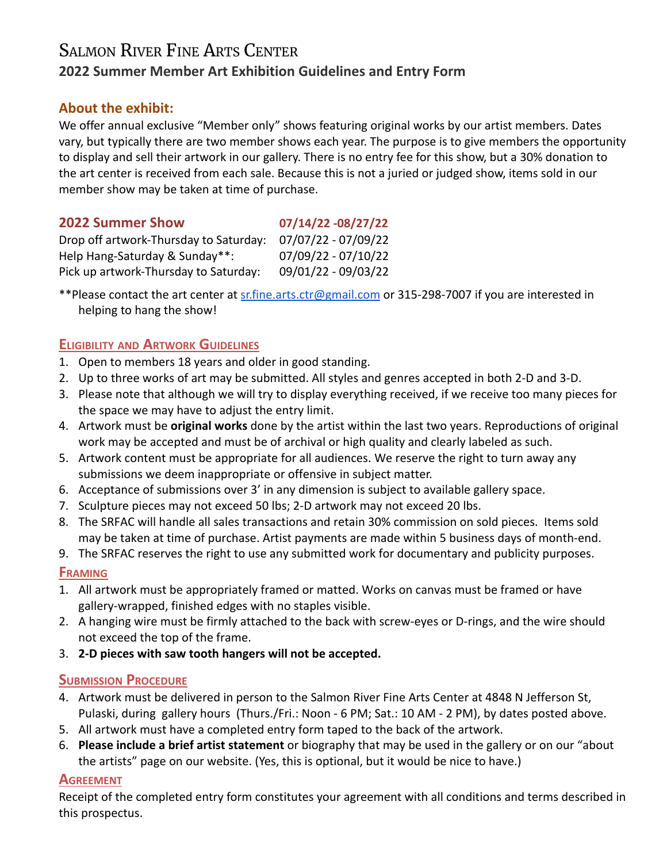# SALMON RIVER FINE ARTS CENTER **2022 Summer Member Art Exhibition Guidelines and Entry Form**

## **About the exhibit:**

We offer annual exclusive "Member only" shows featuring original works by our artist members. Dates vary, but typically there are two member shows each year. The purpose is to give members the opportunity to display and sell their artwork in our gallery. There is no entry fee for this show, but a 30% donation to the art center is received from each sale. Because this is not a juried or judged show, items sold in our member show may be taken at time of purchase.

#### **2022 Summer Show 07/14/22 -08/27/22**

| 07/07/22 - 07/09/22   |
|-----------------------|
| $07/09/22 - 07/10/22$ |
| 09/01/22 - 09/03/22   |
|                       |

\*\*Please contact the art center at [sr.fine.arts.ctr@gmail.com](mailto:sr.fine.arts.ctr@gmail.com) or 315-298-7007 if you are interested in helping to hang the show!

## **ELIGIBILITY AND ARTWORK GUIDELINES**

- 1. Open to members 18 years and older in good standing.
- 2. Up to three works of art may be submitted. All styles and genres accepted in both 2-D and 3-D.
- 3. Please note that although we will try to display everything received, if we receive too many pieces for the space we may have to adjust the entry limit.
- 4. Artwork must be **original works** done by the artist within the last two years. Reproductions of original work may be accepted and must be of archival or high quality and clearly labeled as such.
- 5. Artwork content must be appropriate for all audiences. We reserve the right to turn away any submissions we deem inappropriate or offensive in subject matter.
- 6. Acceptance of submissions over 3' in any dimension is subject to available gallery space.
- 7. Sculpture pieces may not exceed 50 lbs; 2-D artwork may not exceed 20 lbs.
- 8. The SRFAC will handle all sales transactions and retain 30% commission on sold pieces. Items sold may be taken at time of purchase. Artist payments are made within 5 business days of month-end.
- 9. The SRFAC reserves the right to use any submitted work for documentary and publicity purposes.

## **FRAMING**

- 1. All artwork must be appropriately framed or matted. Works on canvas must be framed or have gallery-wrapped, finished edges with no staples visible.
- 2. A hanging wire must be firmly attached to the back with screw-eyes or D-rings, and the wire should not exceed the top of the frame.
- 3. **2-D pieces with saw tooth hangers will not be accepted.**

## **SUBMISSION PROCEDURE**

- 4. Artwork must be delivered in person to the Salmon River Fine Arts Center at 4848 N Jefferson St, Pulaski, during gallery hours (Thurs./Fri.: Noon - 6 PM; Sat.: 10 AM - 2 PM), by dates posted above.
- 5. All artwork must have a completed entry form taped to the back of the artwork.
- 6. **Please include a brief artist statement** or biography that may be used in the gallery or on our "about the artists" page on our website. (Yes, this is optional, but it would be nice to have.)

## **AGREEMENT**

Receipt of the completed entry form constitutes your agreement with all conditions and terms described in this prospectus.